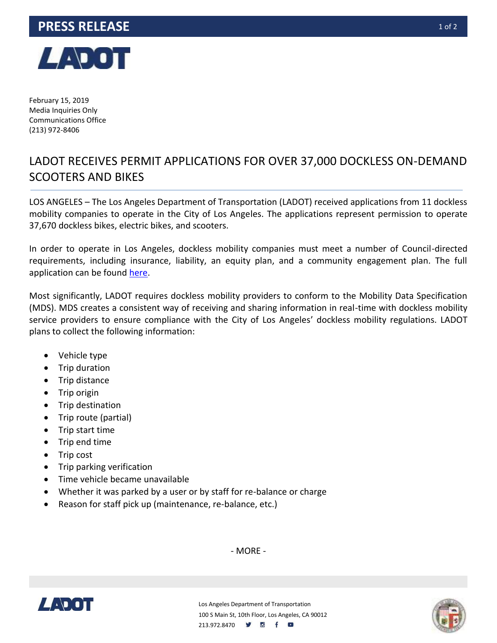## **PRESS RELEASE 10f2**



February 15, 2019 Media Inquiries Only Communications Office (213) 972-8406

## LADOT RECEIVES PERMIT APPLICATIONS FOR OVER 37,000 DOCKLESS ON-DEMAND SCOOTERS AND BIKES

LOS ANGELES – The Los Angeles Department of Transportation (LADOT) received applications from 11 dockless mobility companies to operate in the City of Los Angeles. The applications represent permission to operate 37,670 dockless bikes, electric bikes, and scooters.

In order to operate in Los Angeles, dockless mobility companies must meet a number of Council-directed requirements, including insurance, liability, an equity plan, and a community engagement plan. The full application can be found [here.](http://basic.cityofla.acsitefactory.com/sites/g/files/wph266/f/Final%20One-Year%20Dockless%20Permit.pdf)

Most significantly, LADOT requires dockless mobility providers to conform to the Mobility Data Specification (MDS). MDS creates a consistent way of receiving and sharing information in real-time with dockless mobility service providers to ensure compliance with the City of Los Angeles' dockless mobility regulations. LADOT plans to collect the following information:

- Vehicle type
- Trip duration
- Trip distance
- Trip origin
- Trip destination
- Trip route (partial)
- Trip start time
- Trip end time
- Trip cost
- Trip parking verification
- Time vehicle became unavailable
- Whether it was parked by a user or by staff for re-balance or charge
- Reason for staff pick up (maintenance, re-balance, etc.)

- MORE -





Los Angeles Department of Transportation 100 S Main St, 10th Floor, Los Angeles, CA 90012 213.972.8470 **9 6 f**